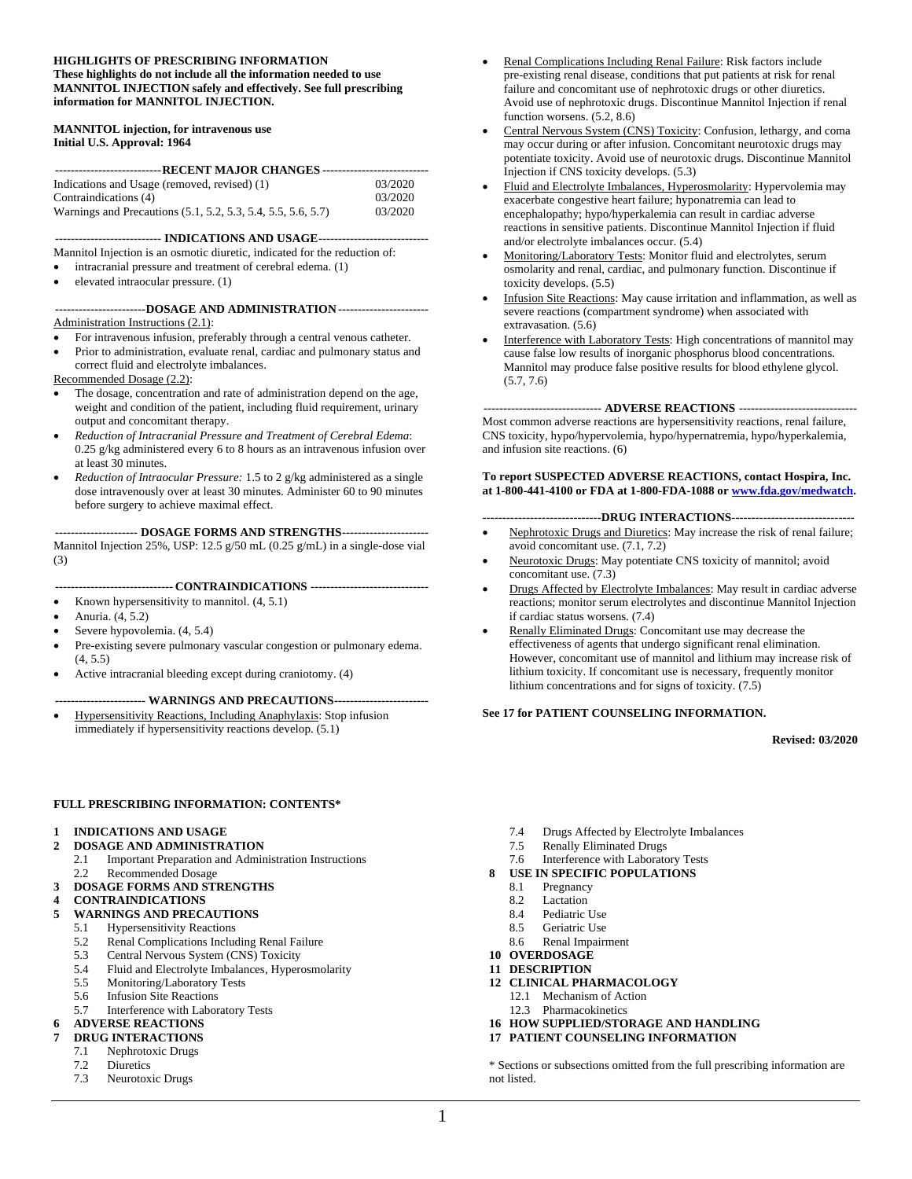#### **HIGHLIGHTS OF PRESCRIBING INFORMATION These highlights do not include all the information needed to use MANNITOL INJECTION safely and effectively. See full prescribing information for MANNITOL INJECTION.**

#### **MANNITOL injection, for intravenous use Initial U.S. Approval: 1964**

| ---------------------------- RECENT MAJOR CHANGES ----------------------------- |         |  |  |  |
|---------------------------------------------------------------------------------|---------|--|--|--|
| Indications and Usage (removed, revised) (1)                                    | 03/2020 |  |  |  |
|                                                                                 |         |  |  |  |
| Contraindications (4)                                                           | 03/2020 |  |  |  |
| Warnings and Precautions (5.1, 5.2, 5.3, 5.4, 5.5, 5.6, 5.7)                    | 03/2020 |  |  |  |

**--------------------------- INDICATIONS AND USAGE----------------------------**

Mannitol Injection is an osmotic diuretic, indicated for the reduction of:

- intracranial pressure and treatment of cerebral edema. (1)
- elevated intraocular pressure. (1)

#### **-----------------------DOSAGE AND ADMINISTRATION-----------------------** Administration Instructions (2.1):

- For intravenous infusion, preferably through a central venous catheter.
- Prior to administration, evaluate renal, cardiac and pulmonary status and correct fluid and electrolyte imbalances.

Recommended Dosage (2.2):

- The dosage, concentration and rate of administration depend on the age, weight and condition of the patient, including fluid requirement, urinary output and concomitant therapy.
- *Reduction of Intracranial Pressure and Treatment of Cerebral Edema*: 0.25 g/kg administered every 6 to 8 hours as an intravenous infusion over at least 30 minutes.
- *Reduction of Intraocular Pressure:* 1.5 to 2 g/kg administered as a single dose intravenously over at least 30 minutes. Administer 60 to 90 minutes before surgery to achieve maximal effect.

**--------------------- DOSAGE FORMS AND STRENGTHS----------------------**

Mannitol Injection 25%, USP: 12.5 g/50 mL (0.25 g/mL) in a single-dose vial (3)

**------------------------------ CONTRAINDICATIONS ------------------------------**

- Known hypersensitivity to mannitol. (4, 5.1)
- Anuria. (4, 5.2)
- Severe hypovolemia.  $(4, 5.4)$
- Pre-existing severe pulmonary vascular congestion or pulmonary edema. (4, 5.5)
- Active intracranial bleeding except during craniotomy. (4)

#### **----------------------- WARNINGS AND PRECAUTIONS------------------------**

• Hypersensitivity Reactions, Including Anaphylaxis: Stop infusion immediately if hypersensitivity reactions develop. (5.1)

- Renal Complications Including Renal Failure: Risk factors include pre-existing renal disease, conditions that put patients at risk for renal failure and concomitant use of nephrotoxic drugs or other diuretics. Avoid use of nephrotoxic drugs. Discontinue Mannitol Injection if renal function worsens. (5.2, 8.6)
- Central Nervous System (CNS) Toxicity: Confusion, lethargy, and coma may occur during or after infusion. Concomitant neurotoxic drugs may potentiate toxicity. Avoid use of neurotoxic drugs. Discontinue Mannitol Injection if CNS toxicity develops. (5.3)
- Fluid and Electrolyte Imbalances, Hyperosmolarity: Hypervolemia may exacerbate congestive heart failure; hyponatremia can lead to encephalopathy; hypo/hyperkalemia can result in cardiac adverse reactions in sensitive patients. Discontinue Mannitol Injection if fluid and/or electrolyte imbalances occur. (5.4)
- Monitoring/Laboratory Tests: Monitor fluid and electrolytes, serum osmolarity and renal, cardiac, and pulmonary function. Discontinue if toxicity develops. (5.5)
- Infusion Site Reactions: May cause irritation and inflammation, as well as severe reactions (compartment syndrome) when associated with extravasation. (5.6)
- Interference with Laboratory Tests: High concentrations of mannitol may cause false low results of inorganic phosphorus blood concentrations. Mannitol may produce false positive results for blood ethylene glycol. (5.7, 7.6)

#### **------------------------------ ADVERSE REACTIONS ------------------------------**

Most common adverse reactions are hypersensitivity reactions, renal failure, CNS toxicity, hypo/hypervolemia, hypo/hypernatremia, hypo/hyperkalemia, and infusion site reactions. (6)

#### **To report SUSPECTED ADVERSE REACTIONS, contact Hospira, Inc. at 1-800-441-4100 or FDA at 1-800-FDA-1088 or [www.fda.gov/medwatch.](http://www.fda.gov/medwatch)**

#### **------------------------------DRUG INTERACTIONS-------------------------------**

- Nephrotoxic Drugs and Diuretics: May increase the risk of renal failure; avoid concomitant use. (7.1, 7.2)
- Neurotoxic Drugs: May potentiate CNS toxicity of mannitol; avoid concomitant use. (7.3)
- Drugs Affected by Electrolyte Imbalances: May result in cardiac adverse reactions; monitor serum electrolytes and discontinue Mannitol Injection if cardiac status worsens. (7.4)
- Renally Eliminated Drugs: Concomitant use may decrease the effectiveness of agents that undergo significant renal elimination. However, concomitant use of mannitol and lithium may increase risk of lithium toxicity. If concomitant use is necessary, frequently monitor lithium concentrations and for signs of toxicity. (7.5)

#### **See 17 for PATIENT COUNSELING INFORMATION.**

**Revised: 03/2020**

#### **FULL PRESCRIBING INFORMATION: CONTENTS\***

#### **1 INDICATIONS AND USAGE**

- **2 DOSAGE AND ADMINISTRATION**
	- 2.1 Important Preparation and Administration Instructions
	- 2.2 Recommended Dosage

# **3 DOSAGE FORMS AND STRENGTHS**

**4 CONTRAINDICATIONS**

#### **5 WARNINGS AND PRECAUTIONS**

- 5.1 Hypersensitivity Reactions
- 5.2 Renal Complications Including Renal Failure<br>5.3 Central Nervous System (CNS) Toxicity
- 5.3 Central Nervous System (CNS) Toxicity
- 5.4 Fluid and Electrolyte Imbalances, Hyperosmolarity
- 5.5 Monitoring/Laboratory Tests
- 5.6 Infusion Site Reactions
- 5.7 Interference with Laboratory Tests

#### **6 ADVERSE REACTIONS**

- **7 DRUG INTERACTIONS**
	- 7.1 Nephrotoxic Drugs
	- 7.2 Diuretics
	- 7.3 Neurotoxic Drugs
- 7.4 Drugs Affected by Electrolyte Imbalances<br>7.5 Renally Eliminated Drugs
- Renally Eliminated Drugs
- 7.6 Interference with Laboratory Tests
- **8 USE IN SPECIFIC POPULATIONS**
	- 8.1 Pregnancy<br>8.2 Lactation
	- Lactation
	- 8.4 Pediatric Use
	- 8.5 Geriatric Use
	- 8.6 Renal Impairment
- **10 OVERDOSAGE 11 DESCRIPTION**
- **12 CLINICAL PHARMACOLOGY**
- 12.1 Mechanism of Action
	- 12.3 Pharmacokinetics
- **16 HOW SUPPLIED/STORAGE AND HANDLING**
- **17 PATIENT COUNSELING INFORMATION**

\* Sections or subsections omitted from the full prescribing information are not listed.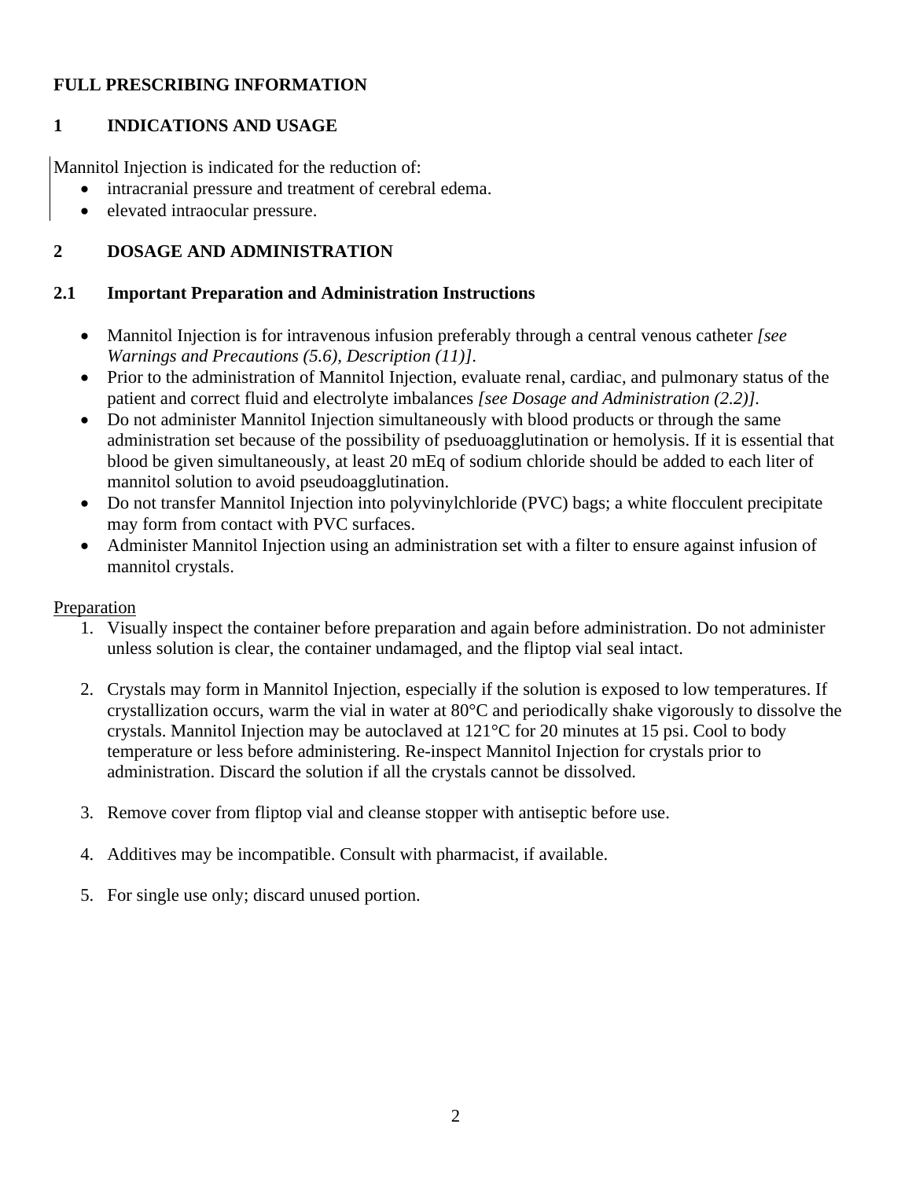#### **FULL PRESCRIBING INFORMATION**

### **1 INDICATIONS AND USAGE**

Mannitol Injection is indicated for the reduction of:

- intracranial pressure and treatment of cerebral edema.
- elevated intraocular pressure.

## **2 DOSAGE AND ADMINISTRATION**

#### **2.1 Important Preparation and Administration Instructions**

- Mannitol Injection is for intravenous infusion preferably through a central venous catheter *[see Warnings and Precautions (5.6), Description (11)]*.
- Prior to the administration of Mannitol Injection, evaluate renal, cardiac, and pulmonary status of the patient and correct fluid and electrolyte imbalances *[see Dosage and Administration (2.2)].*
- Do not administer Mannitol Injection simultaneously with blood products or through the same administration set because of the possibility of pseduoagglutination or hemolysis. If it is essential that blood be given simultaneously, at least 20 mEq of sodium chloride should be added to each liter of mannitol solution to avoid pseudoagglutination.
- Do not transfer Mannitol Injection into polyvinylchloride (PVC) bags; a white flocculent precipitate may form from contact with PVC surfaces.
- Administer Mannitol Injection using an administration set with a filter to ensure against infusion of mannitol crystals.

#### Preparation

- 1. Visually inspect the container before preparation and again before administration. Do not administer unless solution is clear, the container undamaged, and the fliptop vial seal intact.
- 2. Crystals may form in Mannitol Injection, especially if the solution is exposed to low temperatures. If crystallization occurs, warm the vial in water at 80°C and periodically shake vigorously to dissolve the crystals. Mannitol Injection may be autoclaved at 121°C for 20 minutes at 15 psi. Cool to body temperature or less before administering. Re-inspect Mannitol Injection for crystals prior to administration. Discard the solution if all the crystals cannot be dissolved.
- 3. Remove cover from fliptop vial and cleanse stopper with antiseptic before use.
- 4. Additives may be incompatible. Consult with pharmacist, if available.
- 5. For single use only; discard unused portion.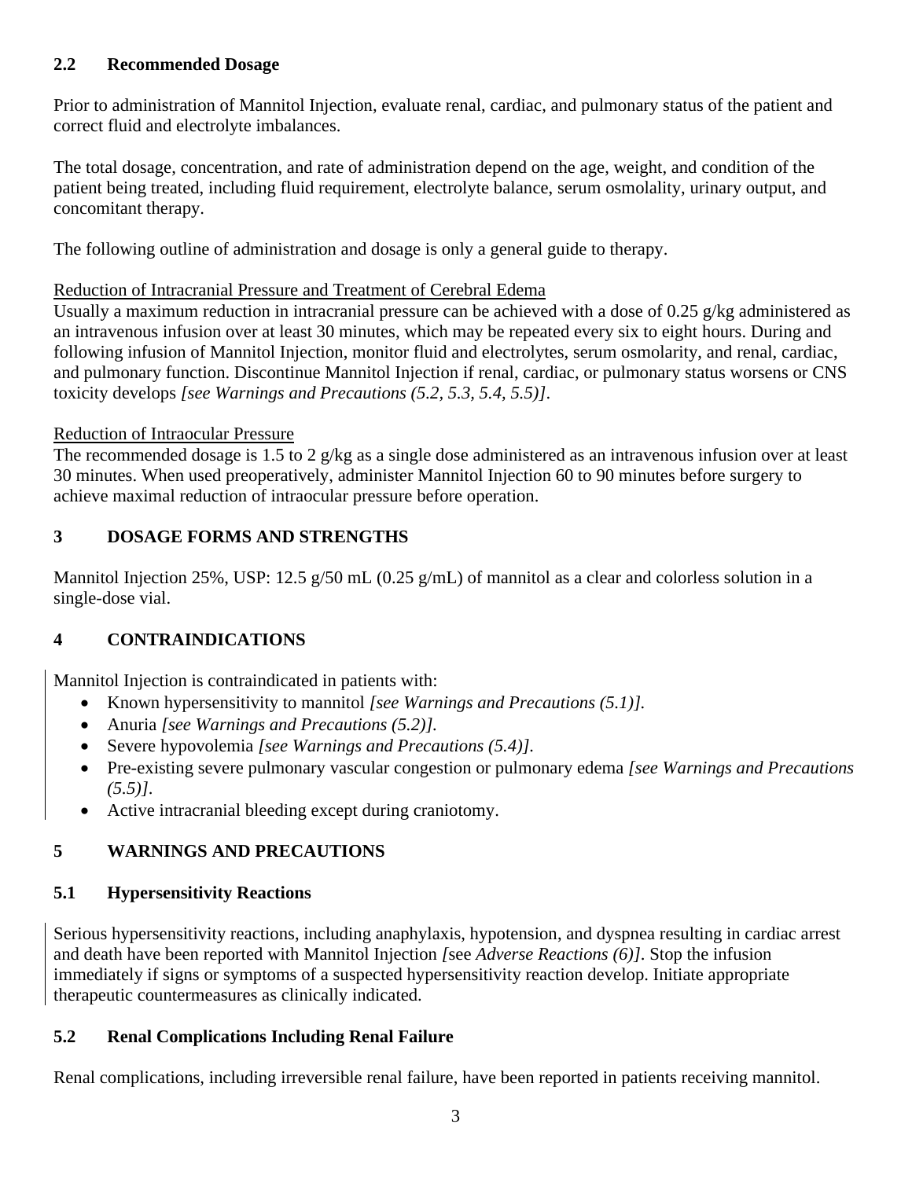## **2.2 Recommended Dosage**

Prior to administration of Mannitol Injection, evaluate renal, cardiac, and pulmonary status of the patient and correct fluid and electrolyte imbalances.

The total dosage, concentration, and rate of administration depend on the age, weight, and condition of the patient being treated, including fluid requirement, electrolyte balance, serum osmolality, urinary output, and concomitant therapy.

The following outline of administration and dosage is only a general guide to therapy.

#### Reduction of Intracranial Pressure and Treatment of Cerebral Edema

Usually a maximum reduction in intracranial pressure can be achieved with a dose of 0.25 g/kg administered as an intravenous infusion over at least 30 minutes, which may be repeated every six to eight hours. During and following infusion of Mannitol Injection, monitor fluid and electrolytes, serum osmolarity, and renal, cardiac, and pulmonary function. Discontinue Mannitol Injection if renal, cardiac, or pulmonary status worsens or CNS toxicity develops *[see Warnings and Precautions (5.2, 5.3, 5.4, 5.5)]*.

#### Reduction of Intraocular Pressure

The recommended dosage is 1.5 to 2 g/kg as a single dose administered as an intravenous infusion over at least 30 minutes. When used preoperatively, administer Mannitol Injection 60 to 90 minutes before surgery to achieve maximal reduction of intraocular pressure before operation.

# **3 DOSAGE FORMS AND STRENGTHS**

Mannitol Injection 25%, USP: 12.5 g/50 mL (0.25 g/mL) of mannitol as a clear and colorless solution in a single-dose vial.

# **4 CONTRAINDICATIONS**

Mannitol Injection is contraindicated in patients with:

- Known hypersensitivity to mannitol *[see Warnings and Precautions (5.1)].*
- Anuria *[see Warnings and Precautions (5.2)].*
- Severe hypovolemia *[see Warnings and Precautions (5.4)].*
- Pre-existing severe pulmonary vascular congestion or pulmonary edema *[see Warnings and Precautions (5.5)]*.
- Active intracranial bleeding except during craniotomy.

# **5 WARNINGS AND PRECAUTIONS**

# **5.1 Hypersensitivity Reactions**

Serious hypersensitivity reactions, including anaphylaxis, hypotension, and dyspnea resulting in cardiac arrest and death have been reported with Mannitol Injection *[*see *Adverse Reactions (6)]*. Stop the infusion immediately if signs or symptoms of a suspected hypersensitivity reaction develop. Initiate appropriate therapeutic countermeasures as clinically indicated.

# **5.2 Renal Complications Including Renal Failure**

Renal complications, including irreversible renal failure, have been reported in patients receiving mannitol.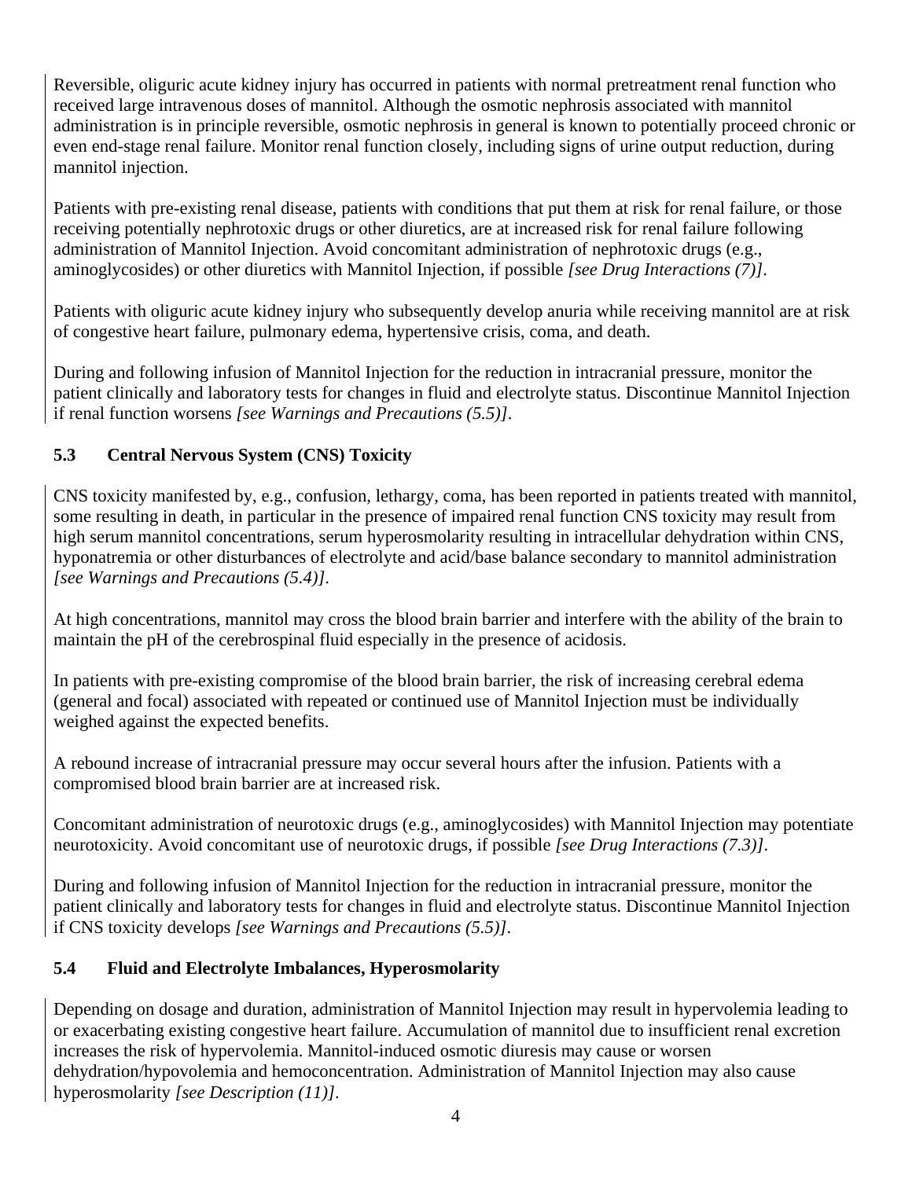Reversible, oliguric acute kidney injury has occurred in patients with normal pretreatment renal function who received large intravenous doses of mannitol. Although the osmotic nephrosis associated with mannitol administration is in principle reversible, osmotic nephrosis in general is known to potentially proceed chronic or even end-stage renal failure. Monitor renal function closely, including signs of urine output reduction, during mannitol injection.

Patients with pre-existing renal disease, patients with conditions that put them at risk for renal failure, or those receiving potentially nephrotoxic drugs or other diuretics, are at increased risk for renal failure following administration of Mannitol Injection. Avoid concomitant administration of nephrotoxic drugs (e.g., aminoglycosides) or other diuretics with Mannitol Injection, if possible *[see Drug Interactions (7)]*.

Patients with oliguric acute kidney injury who subsequently develop anuria while receiving mannitol are at risk of congestive heart failure, pulmonary edema, hypertensive crisis, coma, and death.

During and following infusion of Mannitol Injection for the reduction in intracranial pressure, monitor the patient clinically and laboratory tests for changes in fluid and electrolyte status. Discontinue Mannitol Injection if renal function worsens *[see Warnings and Precautions (5.5)]*.

# **5.3 Central Nervous System (CNS) Toxicity**

CNS toxicity manifested by, e.g., confusion, lethargy, coma, has been reported in patients treated with mannitol, some resulting in death, in particular in the presence of impaired renal function CNS toxicity may result from high serum mannitol concentrations, serum hyperosmolarity resulting in intracellular dehydration within CNS, hyponatremia or other disturbances of electrolyte and acid/base balance secondary to mannitol administration *[see Warnings and Precautions (5.4)]*.

At high concentrations, mannitol may cross the blood brain barrier and interfere with the ability of the brain to maintain the pH of the cerebrospinal fluid especially in the presence of acidosis.

In patients with pre-existing compromise of the blood brain barrier, the risk of increasing cerebral edema (general and focal) associated with repeated or continued use of Mannitol Injection must be individually weighed against the expected benefits.

A rebound increase of intracranial pressure may occur several hours after the infusion. Patients with a compromised blood brain barrier are at increased risk.

Concomitant administration of neurotoxic drugs (e.g., aminoglycosides) with Mannitol Injection may potentiate neurotoxicity. Avoid concomitant use of neurotoxic drugs, if possible *[see Drug Interactions (7.3)]*.

During and following infusion of Mannitol Injection for the reduction in intracranial pressure, monitor the patient clinically and laboratory tests for changes in fluid and electrolyte status. Discontinue Mannitol Injection if CNS toxicity develops *[see Warnings and Precautions (5.5)]*.

# **5.4 Fluid and Electrolyte Imbalances, Hyperosmolarity**

Depending on dosage and duration, administration of Mannitol Injection may result in hypervolemia leading to or exacerbating existing congestive heart failure. Accumulation of mannitol due to insufficient renal excretion increases the risk of hypervolemia. Mannitol-induced osmotic diuresis may cause or worsen dehydration/hypovolemia and hemoconcentration. Administration of Mannitol Injection may also cause hyperosmolarity *[see Description (11)]*.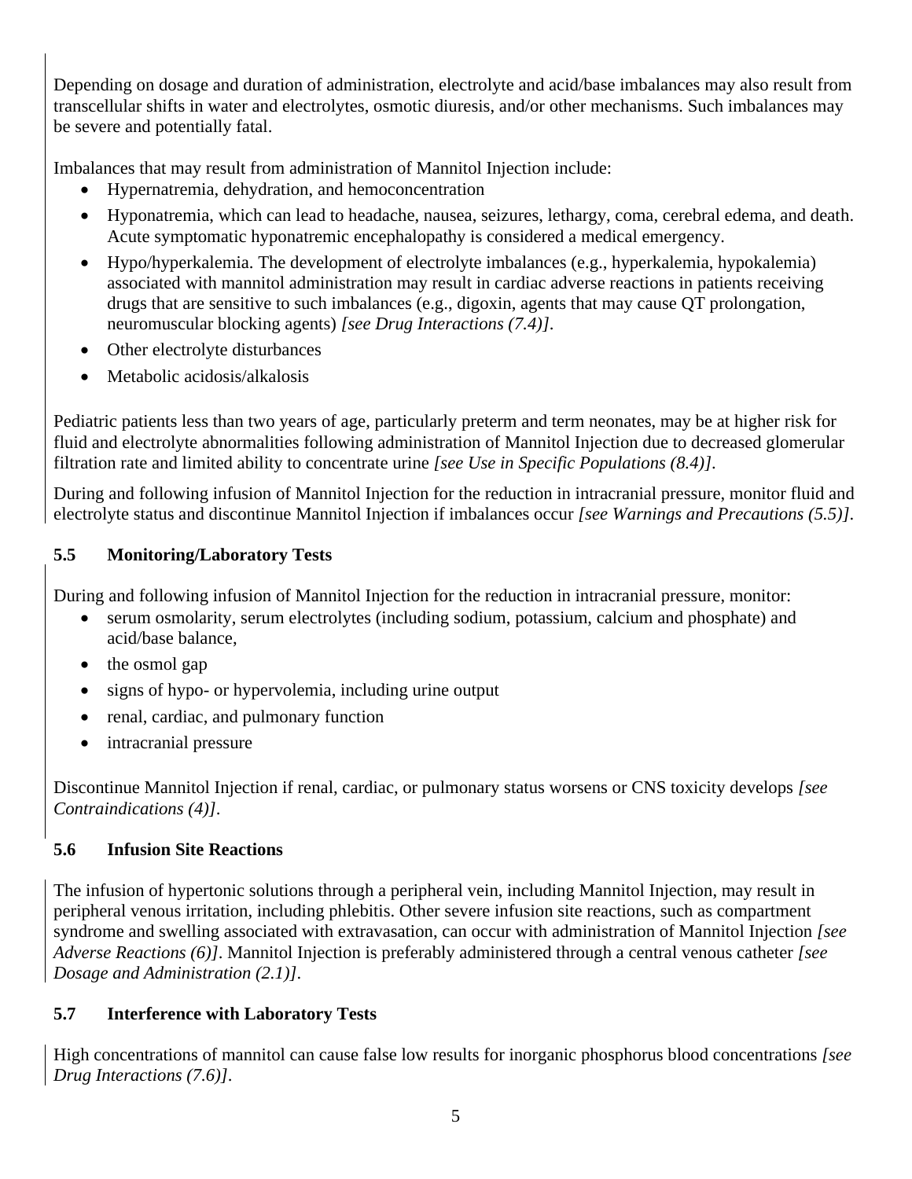Depending on dosage and duration of administration, electrolyte and acid/base imbalances may also result from transcellular shifts in water and electrolytes, osmotic diuresis, and/or other mechanisms. Such imbalances may be severe and potentially fatal.

Imbalances that may result from administration of Mannitol Injection include:

- Hypernatremia, dehydration, and hemoconcentration
- Hyponatremia, which can lead to headache, nausea, seizures, lethargy, coma, cerebral edema, and death. Acute symptomatic hyponatremic encephalopathy is considered a medical emergency.
- Hypo/hyperkalemia. The development of electrolyte imbalances (e.g., hyperkalemia, hypokalemia) associated with mannitol administration may result in cardiac adverse reactions in patients receiving drugs that are sensitive to such imbalances (e.g., digoxin, agents that may cause QT prolongation, neuromuscular blocking agents) *[see Drug Interactions (7.4)]*.
- Other electrolyte disturbances
- Metabolic acidosis/alkalosis

Pediatric patients less than two years of age, particularly preterm and term neonates, may be at higher risk for fluid and electrolyte abnormalities following administration of Mannitol Injection due to decreased glomerular filtration rate and limited ability to concentrate urine *[see Use in Specific Populations (8.4)]*.

During and following infusion of Mannitol Injection for the reduction in intracranial pressure, monitor fluid and electrolyte status and discontinue Mannitol Injection if imbalances occur *[see Warnings and Precautions (5.5)]*.

# **5.5 Monitoring/Laboratory Tests**

During and following infusion of Mannitol Injection for the reduction in intracranial pressure, monitor:

- serum osmolarity, serum electrolytes (including sodium, potassium, calcium and phosphate) and acid/base balance,
- the osmol gap
- signs of hypo- or hypervolemia, including urine output
- renal, cardiac, and pulmonary function
- intracranial pressure

Discontinue Mannitol Injection if renal, cardiac, or pulmonary status worsens or CNS toxicity develops *[see Contraindications (4)]*.

# **5.6 Infusion Site Reactions**

The infusion of hypertonic solutions through a peripheral vein, including Mannitol Injection, may result in peripheral venous irritation, including phlebitis. Other severe infusion site reactions, such as compartment syndrome and swelling associated with extravasation, can occur with administration of Mannitol Injection *[see Adverse Reactions (6)]*. Mannitol Injection is preferably administered through a central venous catheter *[see Dosage and Administration (2.1)]*.

# **5.7 Interference with Laboratory Tests**

High concentrations of mannitol can cause false low results for inorganic phosphorus blood concentrations *[see Drug Interactions (7.6)]*.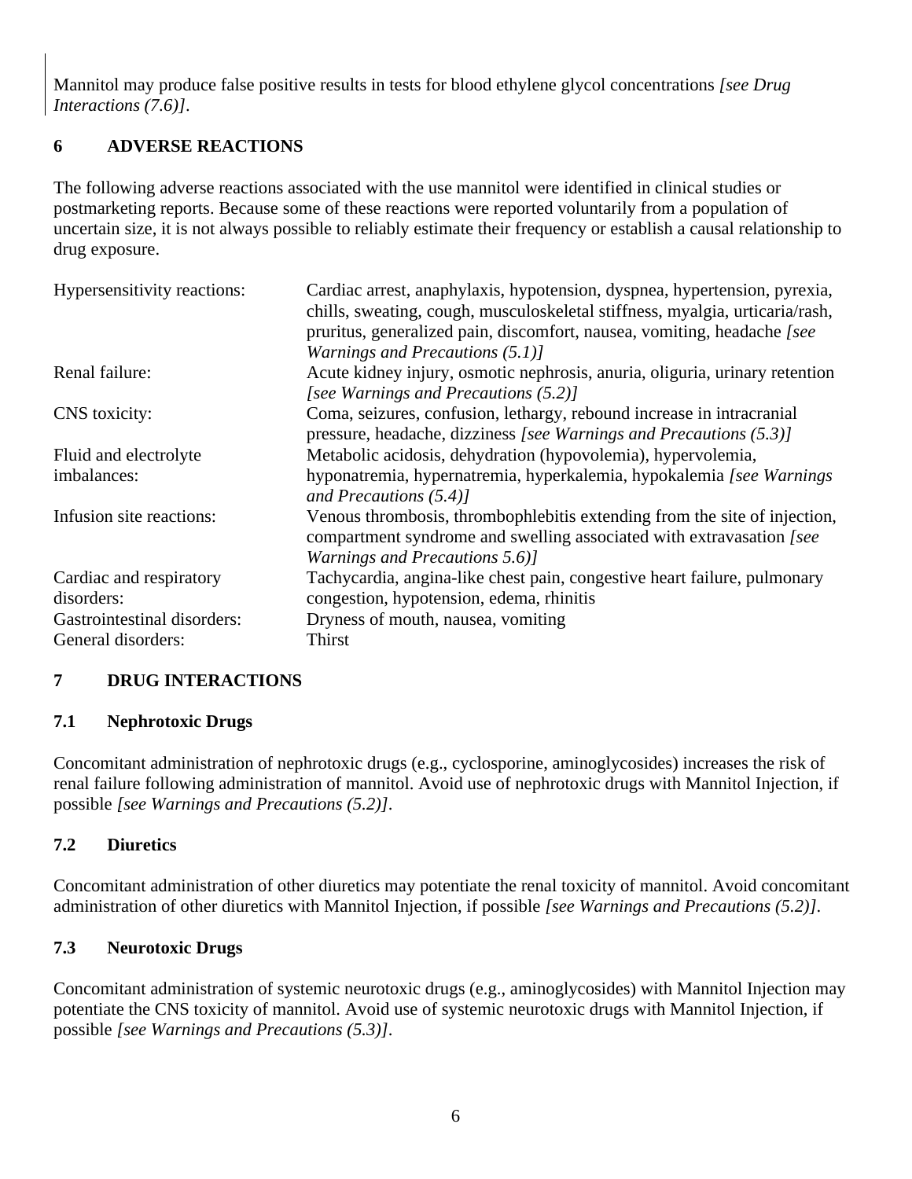Mannitol may produce false positive results in tests for blood ethylene glycol concentrations *[see Drug Interactions (7.6)]*.

## **6 ADVERSE REACTIONS**

The following adverse reactions associated with the use mannitol were identified in clinical studies or postmarketing reports. Because some of these reactions were reported voluntarily from a population of uncertain size, it is not always possible to reliably estimate their frequency or establish a causal relationship to drug exposure.

| Hypersensitivity reactions: | Cardiac arrest, anaphylaxis, hypotension, dyspnea, hypertension, pyrexia,<br>chills, sweating, cough, musculoskeletal stiffness, myalgia, urticaria/rash,<br>pruritus, generalized pain, discomfort, nausea, vomiting, headache [see |
|-----------------------------|--------------------------------------------------------------------------------------------------------------------------------------------------------------------------------------------------------------------------------------|
| Renal failure:              | Warnings and Precautions (5.1)]<br>Acute kidney injury, osmotic nephrosis, anuria, oliguria, urinary retention                                                                                                                       |
|                             | [see Warnings and Precautions (5.2)]                                                                                                                                                                                                 |
| CNS toxicity:               | Coma, seizures, confusion, lethargy, rebound increase in intracranial<br>pressure, headache, dizziness [see Warnings and Precautions $(5.3)$ ]                                                                                       |
| Fluid and electrolyte       | Metabolic acidosis, dehydration (hypovolemia), hypervolemia,                                                                                                                                                                         |
| imbalances:                 | hyponatremia, hypernatremia, hyperkalemia, hypokalemia [see Warnings]<br>and Precautions $(5.4)$ ]                                                                                                                                   |
| Infusion site reactions:    | Venous thrombosis, thromboph lebit is extending from the site of injection,<br>compartment syndrome and swelling associated with extravasation [see<br>Warnings and Precautions 5.6)]                                                |
| Cardiac and respiratory     | Tachycardia, angina-like chest pain, congestive heart failure, pulmonary                                                                                                                                                             |
| disorders:                  | congestion, hypotension, edema, rhinitis                                                                                                                                                                                             |
| Gastrointestinal disorders: | Dryness of mouth, nausea, vomiting                                                                                                                                                                                                   |
| General disorders:          | Thirst                                                                                                                                                                                                                               |

## **7 DRUG INTERACTIONS**

#### **7.1 Nephrotoxic Drugs**

Concomitant administration of nephrotoxic drugs (e.g., cyclosporine, aminoglycosides) increases the risk of renal failure following administration of mannitol. Avoid use of nephrotoxic drugs with Mannitol Injection, if possible *[see Warnings and Precautions (5.2)]*.

## **7.2 Diuretics**

Concomitant administration of other diuretics may potentiate the renal toxicity of mannitol. Avoid concomitant administration of other diuretics with Mannitol Injection, if possible *[see Warnings and Precautions (5.2)]*.

## **7.3 Neurotoxic Drugs**

Concomitant administration of systemic neurotoxic drugs (e.g., aminoglycosides) with Mannitol Injection may potentiate the CNS toxicity of mannitol. Avoid use of systemic neurotoxic drugs with Mannitol Injection, if possible *[see Warnings and Precautions (5.3)]*.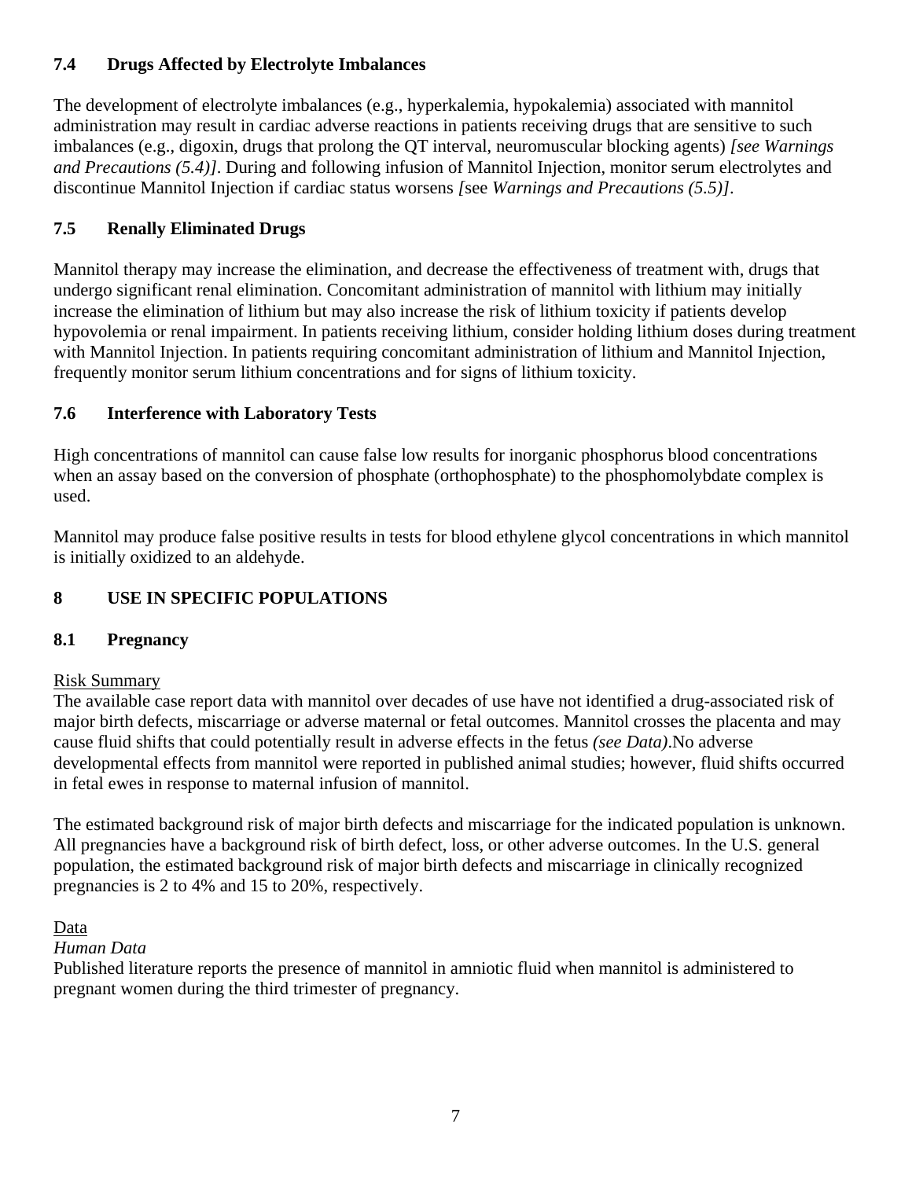## **7.4 Drugs Affected by Electrolyte Imbalances**

The development of electrolyte imbalances (e.g., hyperkalemia, hypokalemia) associated with mannitol administration may result in cardiac adverse reactions in patients receiving drugs that are sensitive to such imbalances (e.g., digoxin, drugs that prolong the QT interval, neuromuscular blocking agents) *[see Warnings and Precautions (5.4)]*. During and following infusion of Mannitol Injection, monitor serum electrolytes and discontinue Mannitol Injection if cardiac status worsens *[*see *Warnings and Precautions (5.5)]*.

# **7.5 Renally Eliminated Drugs**

Mannitol therapy may increase the elimination, and decrease the effectiveness of treatment with, drugs that undergo significant renal elimination. Concomitant administration of mannitol with lithium may initially increase the elimination of lithium but may also increase the risk of lithium toxicity if patients develop hypovolemia or renal impairment. In patients receiving lithium, consider holding lithium doses during treatment with Mannitol Injection. In patients requiring concomitant administration of lithium and Mannitol Injection, frequently monitor serum lithium concentrations and for signs of lithium toxicity.

# **7.6 Interference with Laboratory Tests**

High concentrations of mannitol can cause false low results for inorganic phosphorus blood concentrations when an assay based on the conversion of phosphate (orthophosphate) to the phosphomolybdate complex is used.

Mannitol may produce false positive results in tests for blood ethylene glycol concentrations in which mannitol is initially oxidized to an aldehyde.

# **8 USE IN SPECIFIC POPULATIONS**

# **8.1 Pregnancy**

## Risk Summary

The available case report data with mannitol over decades of use have not identified a drug-associated risk of major birth defects, miscarriage or adverse maternal or fetal outcomes. Mannitol crosses the placenta and may cause fluid shifts that could potentially result in adverse effects in the fetus *(see Data)*.No adverse developmental effects from mannitol were reported in published animal studies; however, fluid shifts occurred in fetal ewes in response to maternal infusion of mannitol.

The estimated background risk of major birth defects and miscarriage for the indicated population is unknown. All pregnancies have a background risk of birth defect, loss, or other adverse outcomes. In the U.S. general population, the estimated background risk of major birth defects and miscarriage in clinically recognized pregnancies is 2 to 4% and 15 to 20%, respectively.

Data

## *Human Data*

Published literature reports the presence of mannitol in amniotic fluid when mannitol is administered to pregnant women during the third trimester of pregnancy.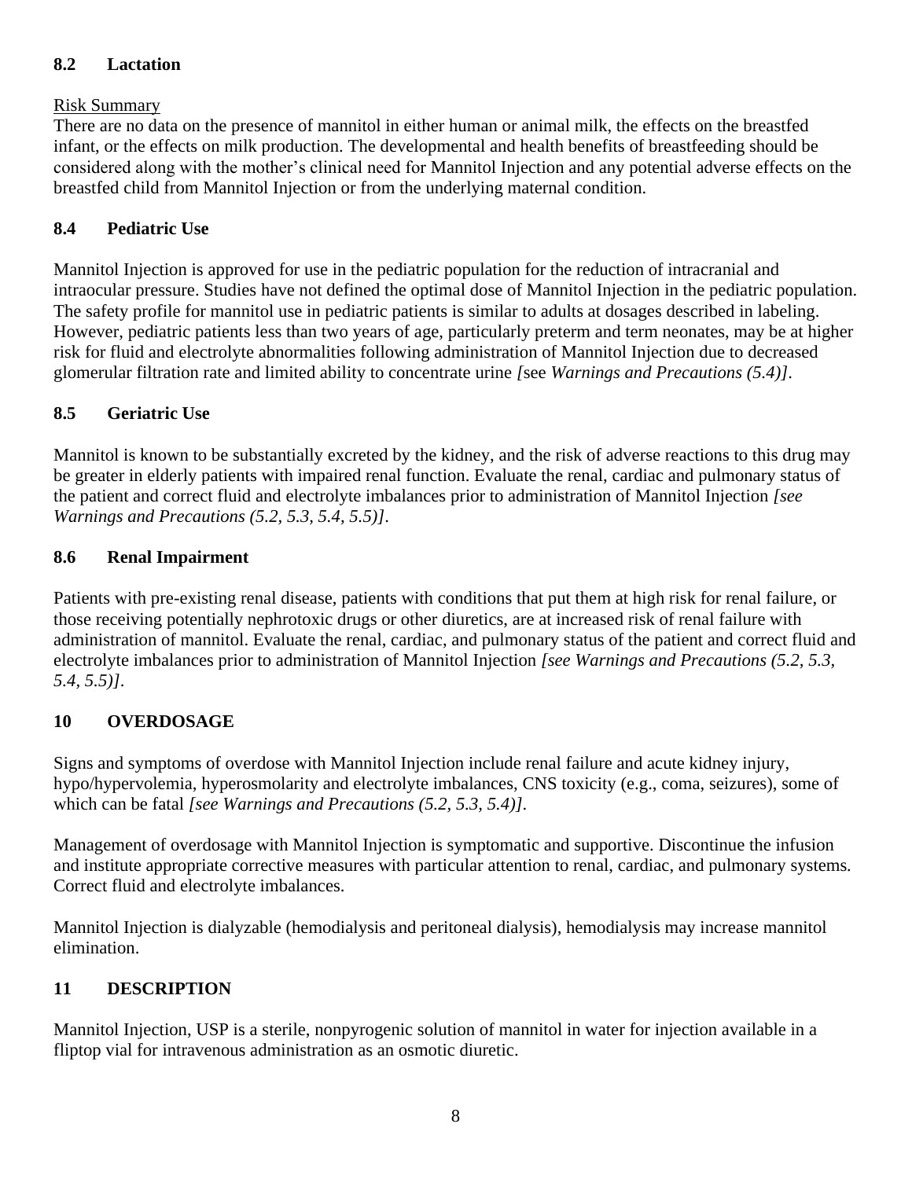## **8.2 Lactation**

## Risk Summary

There are no data on the presence of mannitol in either human or animal milk, the effects on the breastfed infant, or the effects on milk production. The developmental and health benefits of breastfeeding should be considered along with the mother's clinical need for Mannitol Injection and any potential adverse effects on the breastfed child from Mannitol Injection or from the underlying maternal condition.

# **8.4 Pediatric Use**

Mannitol Injection is approved for use in the pediatric population for the reduction of intracranial and intraocular pressure. Studies have not defined the optimal dose of Mannitol Injection in the pediatric population. The safety profile for mannitol use in pediatric patients is similar to adults at dosages described in labeling. However, pediatric patients less than two years of age, particularly preterm and term neonates, may be at higher risk for fluid and electrolyte abnormalities following administration of Mannitol Injection due to decreased glomerular filtration rate and limited ability to concentrate urine *[*see *Warnings and Precautions (5.4)]*.

# **8.5 Geriatric Use**

Mannitol is known to be substantially excreted by the kidney, and the risk of adverse reactions to this drug may be greater in elderly patients with impaired renal function. Evaluate the renal, cardiac and pulmonary status of the patient and correct fluid and electrolyte imbalances prior to administration of Mannitol Injection *[see Warnings and Precautions (5.2, 5.3, 5.4, 5.5)]*.

# **8.6 Renal Impairment**

Patients with pre-existing renal disease, patients with conditions that put them at high risk for renal failure, or those receiving potentially nephrotoxic drugs or other diuretics, are at increased risk of renal failure with administration of mannitol. Evaluate the renal, cardiac, and pulmonary status of the patient and correct fluid and electrolyte imbalances prior to administration of Mannitol Injection *[see Warnings and Precautions (5.2, 5.3, 5.4, 5.5)]*.

# **10 OVERDOSAGE**

Signs and symptoms of overdose with Mannitol Injection include renal failure and acute kidney injury, hypo/hypervolemia, hyperosmolarity and electrolyte imbalances, CNS toxicity (e.g., coma, seizures), some of which can be fatal *[see Warnings and Precautions (5.2, 5.3, 5.4)]*.

Management of overdosage with Mannitol Injection is symptomatic and supportive. Discontinue the infusion and institute appropriate corrective measures with particular attention to renal, cardiac, and pulmonary systems*.*  Correct fluid and electrolyte imbalances.

Mannitol Injection is dialyzable (hemodialysis and peritoneal dialysis), hemodialysis may increase mannitol elimination.

# **11 DESCRIPTION**

Mannitol Injection, USP is a sterile, nonpyrogenic solution of mannitol in water for injection available in a fliptop vial for intravenous administration as an osmotic diuretic.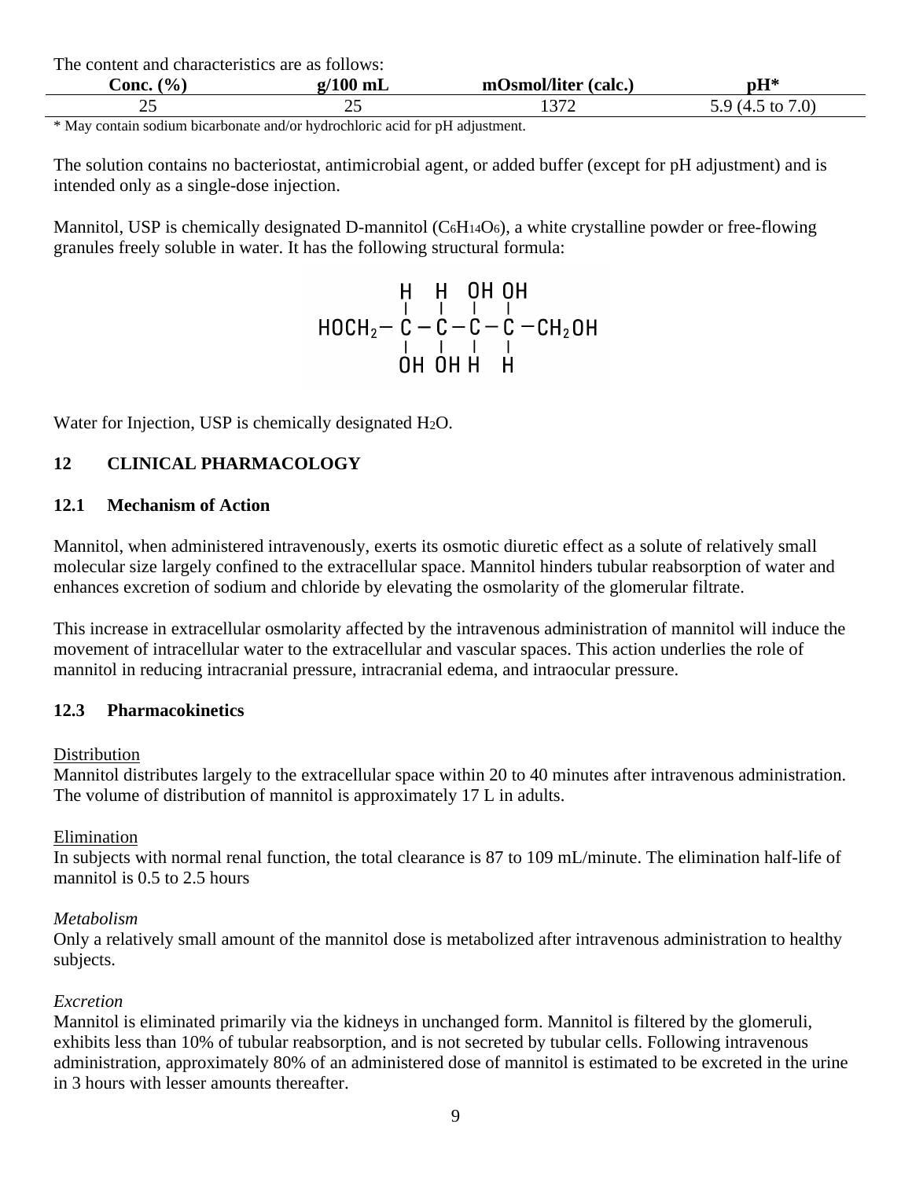The content and characteristics are as follows:

| $\mathbf{O}_{\mathbf{O}}$<br>`onc | $\blacksquare$<br>ш | . <b>. .</b> .<br>$1.54$ and $1.5$<br>(calc.<br>m<br>. Ier | <b>TTM</b><br>VIJ |  |
|-----------------------------------|---------------------|------------------------------------------------------------|-------------------|--|
| ∼                                 | ~~                  | $\cap$                                                     |                   |  |

\* May contain sodium bicarbonate and/or hydrochloric acid for pH adjustment.

The solution contains no bacteriostat, antimicrobial agent, or added buffer (except for pH adjustment) and is intended only as a single-dose injection.

Mannitol, USP is chemically designated D-mannitol  $(C_6H_{14}O_6)$ , a white crystalline powder or free-flowing granules freely soluble in water. It has the following structural formula:

# $H$  H OH OH<br>HOCH<sub>2</sub> -  $C$  -  $C$  -  $C$  -  $C$  -  $C$  -  $C$  -  $C$  -  $C$  -  $C$  -  $C$  -  $C$  -  $C$  -  $C$  +  $C$  +  $C$  +  $C$  +  $C$  +  $C$  +  $C$  +  $C$  +  $C$  +  $C$  +  $C$  +  $C$  +  $C$  +  $C$  +  $C$  +  $C$  +  $C$  +  $C$  +  $C$  +  $C$  +  $C$  +

Water for Injection, USP is chemically designated H<sub>2</sub>O.

#### **12 CLINICAL PHARMACOLOGY**

#### **12.1 Mechanism of Action**

Mannitol, when administered intravenously, exerts its osmotic diuretic effect as a solute of relatively small molecular size largely confined to the extracellular space. Mannitol hinders tubular reabsorption of water and enhances excretion of sodium and chloride by elevating the osmolarity of the glomerular filtrate.

This increase in extracellular osmolarity affected by the intravenous administration of mannitol will induce the movement of intracellular water to the extracellular and vascular spaces. This action underlies the role of mannitol in reducing intracranial pressure, intracranial edema, and intraocular pressure.

#### **12.3 Pharmacokinetics**

#### Distribution

Mannitol distributes largely to the extracellular space within 20 to 40 minutes after intravenous administration. The volume of distribution of mannitol is approximately 17 L in adults.

#### Elimination

In subjects with normal renal function, the total clearance is 87 to 109 mL/minute. The elimination half-life of mannitol is 0.5 to 2.5 hours

#### *Metabolism*

Only a relatively small amount of the mannitol dose is metabolized after intravenous administration to healthy subjects.

#### *Excretion*

Mannitol is eliminated primarily via the kidneys in unchanged form. Mannitol is filtered by the glomeruli, exhibits less than 10% of tubular reabsorption, and is not secreted by tubular cells. Following intravenous administration, approximately 80% of an administered dose of mannitol is estimated to be excreted in the urine in 3 hours with lesser amounts thereafter.